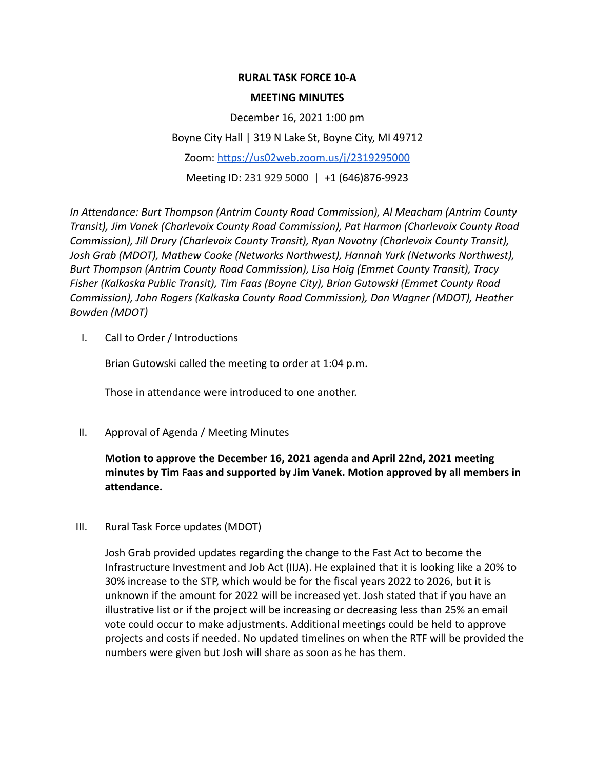## **RURAL TASK FORCE 10-A**

#### **MEETING MINUTES**

December 16, 2021 1:00 pm Boyne City Hall | 319 N Lake St, Boyne City, MI 49712 Zoom: <https://us02web.zoom.us/j/2319295000> Meeting ID: 231 929 5000 | +1 (646)876-9923

*In Attendance: Burt Thompson (Antrim County Road Commission), Al Meacham (Antrim County Transit), Jim Vanek (Charlevoix County Road Commission), Pat Harmon (Charlevoix County Road Commission), Jill Drury (Charlevoix County Transit), Ryan Novotny (Charlevoix County Transit), Josh Grab (MDOT), Mathew Cooke (Networks Northwest), Hannah Yurk (Networks Northwest), Burt Thompson (Antrim County Road Commission), Lisa Hoig (Emmet County Transit), Tracy Fisher (Kalkaska Public Transit), Tim Faas (Boyne City), Brian Gutowski (Emmet County Road Commission), John Rogers (Kalkaska County Road Commission), Dan Wagner (MDOT), Heather Bowden (MDOT)*

I. Call to Order / Introductions

Brian Gutowski called the meeting to order at 1:04 p.m.

Those in attendance were introduced to one another.

II. Approval of Agenda / Meeting Minutes

**Motion to approve the December 16, 2021 agenda and April 22nd, 2021 meeting minutes by Tim Faas and supported by Jim Vanek. Motion approved by all members in attendance.**

III. Rural Task Force updates (MDOT)

Josh Grab provided updates regarding the change to the Fast Act to become the Infrastructure Investment and Job Act (IIJA). He explained that it is looking like a 20% to 30% increase to the STP, which would be for the fiscal years 2022 to 2026, but it is unknown if the amount for 2022 will be increased yet. Josh stated that if you have an illustrative list or if the project will be increasing or decreasing less than 25% an email vote could occur to make adjustments. Additional meetings could be held to approve projects and costs if needed. No updated timelines on when the RTF will be provided the numbers were given but Josh will share as soon as he has them.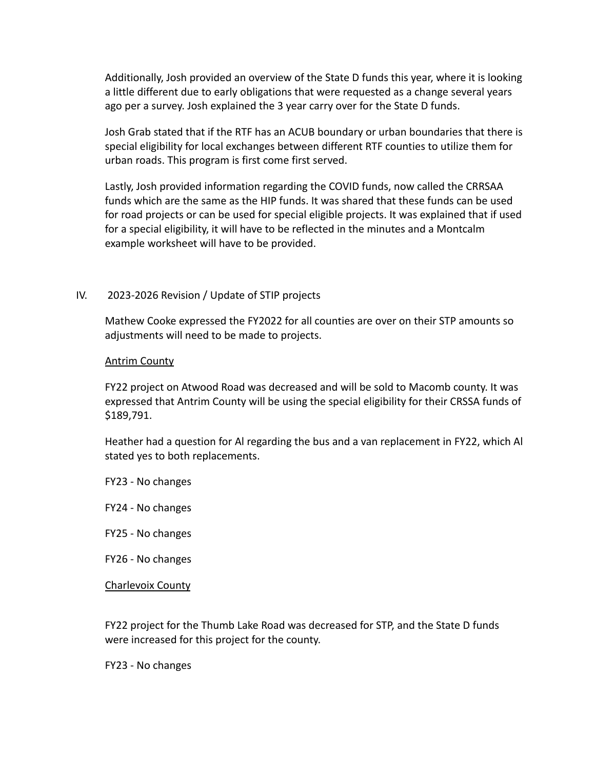Additionally, Josh provided an overview of the State D funds this year, where it is looking a little different due to early obligations that were requested as a change several years ago per a survey. Josh explained the 3 year carry over for the State D funds.

Josh Grab stated that if the RTF has an ACUB boundary or urban boundaries that there is special eligibility for local exchanges between different RTF counties to utilize them for urban roads. This program is first come first served.

Lastly, Josh provided information regarding the COVID funds, now called the CRRSAA funds which are the same as the HIP funds. It was shared that these funds can be used for road projects or can be used for special eligible projects. It was explained that if used for a special eligibility, it will have to be reflected in the minutes and a Montcalm example worksheet will have to be provided.

## IV. 2023-2026 Revision / Update of STIP projects

Mathew Cooke expressed the FY2022 for all counties are over on their STP amounts so adjustments will need to be made to projects.

#### Antrim County

FY22 project on Atwood Road was decreased and will be sold to Macomb county. It was expressed that Antrim County will be using the special eligibility for their CRSSA funds of \$189,791.

Heather had a question for Al regarding the bus and a van replacement in FY22, which Al stated yes to both replacements.

- FY23 No changes
- FY24 No changes
- FY25 No changes
- FY26 No changes

Charlevoix County

FY22 project for the Thumb Lake Road was decreased for STP, and the State D funds were increased for this project for the county.

FY23 - No changes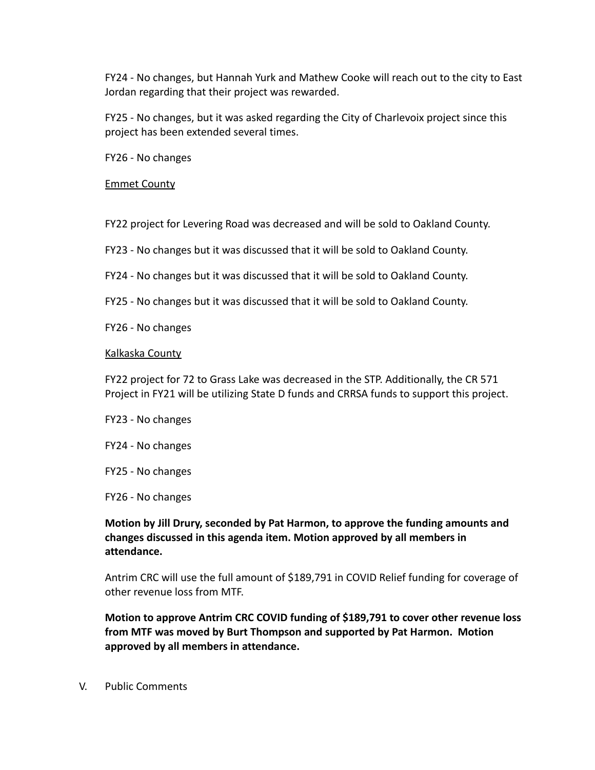FY24 - No changes, but Hannah Yurk and Mathew Cooke will reach out to the city to East Jordan regarding that their project was rewarded.

FY25 - No changes, but it was asked regarding the City of Charlevoix project since this project has been extended several times.

FY26 - No changes

## Emmet County

FY22 project for Levering Road was decreased and will be sold to Oakland County.

FY23 - No changes but it was discussed that it will be sold to Oakland County.

- FY24 No changes but it was discussed that it will be sold to Oakland County.
- FY25 No changes but it was discussed that it will be sold to Oakland County.

FY26 - No changes

#### Kalkaska County

FY22 project for 72 to Grass Lake was decreased in the STP. Additionally, the CR 571 Project in FY21 will be utilizing State D funds and CRRSA funds to support this project.

- FY23 No changes
- FY24 No changes
- FY25 No changes
- FY26 No changes

# **Motion by Jill Drury, seconded by Pat Harmon, to approve the funding amounts and changes discussed in this agenda item. Motion approved by all members in attendance.**

Antrim CRC will use the full amount of \$189,791 in COVID Relief funding for coverage of other revenue loss from MTF.

**Motion to approve Antrim CRC COVID funding of \$189,791 to cover other revenue loss from MTF was moved by Burt Thompson and supported by Pat Harmon. Motion approved by all members in attendance.**

V. Public Comments